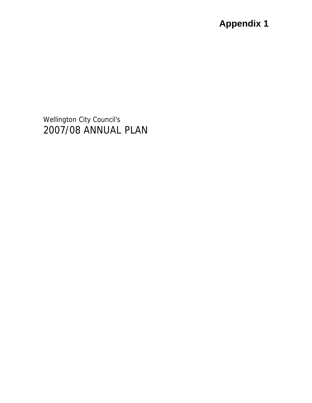Wellington City Council's 2007/08 ANNUAL PLAN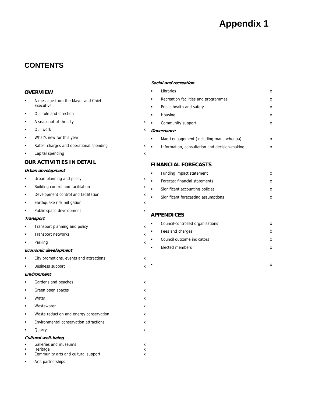### **CONTENTS**

#### **OVERVIEW**

- A message from the Mayor and Chief Executive
- **•** Our role and direction
- **A** snapshot of the city **x**
- Our work x
- What's new for this year
- Rates, charges and operational spending xx
- Capital spending x

#### **OUR ACTIVITIES IN DETAIL**

#### **Urban development**

- **Urban planning and policy** and  $x = x$
- **Building control and facilitation** x
- **Development control and facilitation Development control and facilitation**
- **Earthquake risk mitigation in the case of the case of the case of the case of the case of the case of the case of the case of the case of the case of the case of the case of the case of the case of the case of the case of**
- Public space development x x

#### **Transport**

- **Transport planning and policy** and **reduced x**
- **Transport networks** x
- Parking x

#### **Economic development**

- **EXECT:** City promotions, events and attractions x Business support x **Environment Gardens and beaches** x **Green open spaces** x x ■ Water x x Wastewater x x Waste reduction and energy conservation x Environmental conservation attractions x
- Quarry x

#### **Cultural well-being**

| $\blacksquare$ | Galleries and museums               |  |
|----------------|-------------------------------------|--|
| $\blacksquare$ | Heritage                            |  |
| $\blacksquare$ | Community arts and cultural support |  |
| $\blacksquare$ | Arts partnerships                   |  |

#### **Social and recreation**

| Libraries                                     | x |
|-----------------------------------------------|---|
| Recreation facilities and programmes          | x |
| Public health and safety                      | x |
| Housing                                       | x |
| Community support                             | x |
| Governance                                    |   |
| Maori engagement (including mana whenua)      | x |
| Information, consultation and decision-making | x |

#### **FINANCIAL FORECASTS**

| ٠ | Funding impact statement            |  |
|---|-------------------------------------|--|
|   | Forecast financial statements       |  |
| ٠ | Significant accounting policies     |  |
| ٠ | Significant forecasting assumptions |  |
|   |                                     |  |

#### **APPENDICES**

| ٠   | Council-controlled organisations |  |
|-----|----------------------------------|--|
| . . | Fees and charges                 |  |
| ٠   | Council outcome indicators       |  |
|     | Elected members                  |  |
|     |                                  |  |

 $\blacksquare$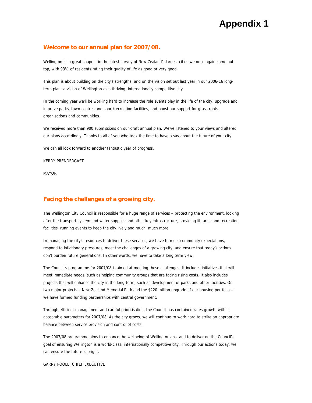#### **Welcome to our annual plan for 2007/08.**

Wellington is in great shape – in the latest survey of New Zealand's largest cities we once again came out top, with 93% of residents rating their quality of life as good or very good.

This plan is about building on the city's strengths, and on the vision set out last year in our 2006-16 longterm plan: a vision of Wellington as a thriving, internationally competitive city.

In the coming year we'll be working hard to increase the role events play in the life of the city, upgrade and improve parks, town centres and sport/recreation facilities, and boost our support for grass-roots organisations and communities.

We received more than 900 submissions on our draft annual plan. We've listened to your views and altered our plans accordingly. Thanks to all of you who took the time to have a say about the future of your city.

We can all look forward to another fantastic year of progress.

KERRY PRENDERGAST

MAYOR

#### **Facing the challenges of a growing city.**

The Wellington City Council is responsible for a huge range of services – protecting the environment, looking after the transport system and water supplies and other key infrastructure, providing libraries and recreation facilities, running events to keep the city lively and much, much more.

In managing the city's resources to deliver these services, we have to meet community expectations, respond to inflationary pressures, meet the challenges of a growing city, and ensure that today's actions don't burden future generations. In other words, we have to take a long term view.

The Council's programme for 2007/08 is aimed at meeting these challenges. It includes initiatives that will meet immediate needs, such as helping community groups that are facing rising costs. It also includes projects that will enhance the city in the long-term, such as development of parks and other facilities. On two major projects – New Zealand Memorial Park and the \$220 million upgrade of our housing portfolio – we have formed funding partnerships with central government.

Through efficient management and careful prioritisation, the Council has contained rates growth within acceptable parameters for 2007/08. As the city grows, we will continue to work hard to strike an appropriate balance between service provision and control of costs.

The 2007/08 programme aims to enhance the wellbeing of Wellingtonians, and to deliver on the Council's goal of ensuring Wellington is a world-class, internationally competitive city. Through our actions today, we can ensure the future is bright.

GARRY POOLE, CHIEF EXECUTIVE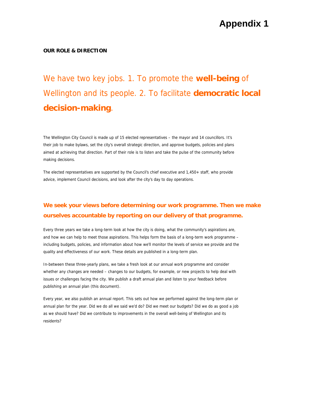#### **OUR ROLE & DIRECTION**

We have two key jobs. 1. To promote the **well-being** of Wellington and its people. 2. To facilitate **democratic local decision-making**.

The Wellington City Council is made up of 15 elected representatives – the mayor and 14 councillors. It's their job to make bylaws, set the city's overall strategic direction, and approve budgets, policies and plans aimed at achieving that direction. Part of their role is to listen and take the pulse of the community before making decisions.

The elected representatives are supported by the Council's chief executive and 1,450+ staff, who provide advice, implement Council decisions, and look after the city's day to day operations.

### **We seek your views before determining our work programme. Then we make ourselves accountable by reporting on our delivery of that programme.**

Every three years we take a long-term look at how the city is doing, what the community's aspirations are, and how we can help to meet those aspirations. This helps form the basis of a long-term work programme – including budgets, policies, and information about how we'll monitor the levels of service we provide and the quality and effectiveness of our work. These details are published in a long-term plan.

In-between these three-yearly plans, we take a fresh look at our annual work programme and consider whether any changes are needed – changes to our budgets, for example, or new projects to help deal with issues or challenges facing the city. We publish a draft annual plan and listen to your feedback before publishing an annual plan (this document).

Every year, we also publish an annual report. This sets out how we performed against the long-term plan or annual plan for the year. Did we do all we said we'd do? Did we meet our budgets? Did we do as good a job as we should have? Did we contribute to improvements in the overall well-being of Wellington and its residents?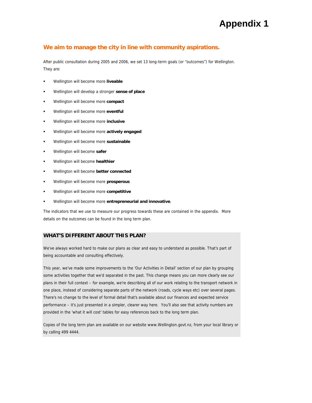#### **We aim to manage the city in line with community aspirations.**

After public consultation during 2005 and 2006, we set 13 long-term goals (or "outcomes") for Wellington. They are:

- Wellington will become more **liveable**
- Wellington will develop a stronger **sense of place**
- Wellington will become more **compact**
- Wellington will become more **eventful**
- Wellington will become more **inclusive**
- Wellington will become more **actively engaged**
- Wellington will become more **sustainable**
- Wellington will become **safer**
- Wellington will become **healthier**
- Wellington will become **better connected**
- Wellington will become more **prosperous**
- Wellington will become more **competitive**
- Wellington will become more **entrepreneurial and innovative**.

The indicators that we use to measure our progress towards these are contained in the appendix. More details on the outcomes can be found in the long term plan.

#### **WHAT'S DIFFERENT ABOUT THIS PLAN?**

We've always worked hard to make our plans as clear and easy to understand as possible. That's part of being accountable and consulting effectively.

This year, we've made some improvements to the 'Our Activities in Detail' section of our plan by grouping some activities together that we'd separated in the past. This change means you can more clearly see our plans in their full context – for example, we're describing all of our work relating to the transport network in one place, instead of considering separate parts of the network (roads, cycle ways etc) over several pages. There's no change to the level of formal detail that's available about our finances and expected service performance – it's just presented in a simpler, clearer way here. You'll also see that activity numbers are provided in the 'what it will cost' tables for easy references back to the long term plan.

Copies of the long term plan are available on our website www.Wellington.govt.nz, from your local library or by calling 499 4444.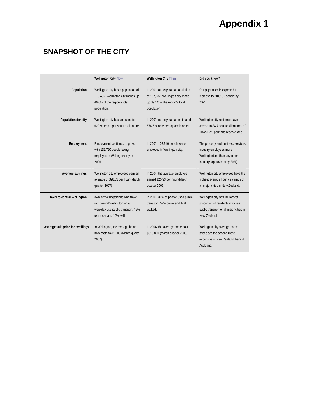### **SNAPSHOT OF THE CITY**

|                                     | <b>Wellington City Now</b>                                                                                                       | <b>Wellington City Then</b>                                                                                             | Did you know?                                                                                                                   |
|-------------------------------------|----------------------------------------------------------------------------------------------------------------------------------|-------------------------------------------------------------------------------------------------------------------------|---------------------------------------------------------------------------------------------------------------------------------|
| Population                          | Wellington city has a population of<br>179,466. Wellington city makes up<br>40.0% of the region's total<br>population.           | In 2001, our city had a population<br>of 167,187. Wellington city made<br>up 39.1% of the region's total<br>population. | Our population is expected to<br>increase to 201,100 people by<br>2021.                                                         |
| Population density                  | Wellington city has an estimated<br>620.9 people per square kilometre.                                                           | In 2001, our city had an estimated<br>576.5 people per square kilometre.                                                | Wellington city residents have<br>access to 34.7 square kilometres of<br>Town Belt, park and reserve land.                      |
| Employment                          | Employment continues to grow,<br>with 132,720 people being<br>employed in Wellington city in<br>2006.                            | In 2001, 108,910 people were<br>employed in Wellington city.                                                            | The property and business services<br>industry employees more<br>Wellingtonians than any other<br>industry (approximately 20%). |
| Average earnings                    | Wellington city employees earn an<br>average of \$28.33 per hour (March<br>quarter 2007)                                         | In 2004, the average employee<br>earned \$25.93 per hour (March<br>quarter 2005).                                       | Wellington city employees have the<br>highest average hourly earnings of<br>all major cities in New Zealand.                    |
| <b>Travel to central Wellington</b> | 34% of Wellingtonians who travel<br>into central Wellington on a<br>weekday use public transport, 45%<br>use a car and 10% walk. | In 2001, 30% of people used public<br>transport, 52% drove and 14%<br>walked.                                           | Wellington city has the largest<br>proportion of residents who use<br>public transport of all major cities in<br>New Zealand.   |
| Average sale price for dwellings    | In Wellington, the average home<br>now costs \$411,000 (March quarter<br>$2007$ ).                                               | In 2004, the average home cost<br>\$315,800 (March quarter 2005).                                                       | Wellington city average home<br>prices are the second most<br>expensive in New Zealand, behind<br>Auckland.                     |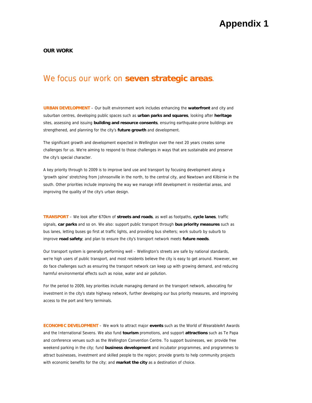**OUR WORK** 

### We focus our work on **seven strategic areas**.

**URBAN DEVELOPMENT** – Our built environment work includes enhancing the **waterfront** and city and suburban centres, developing public spaces such as **urban parks and squares**, looking after **heritage** sites, assessing and issuing **building and resource consents**, ensuring earthquake-prone buildings are strengthened, and planning for the city's **future growth** and development.

The significant growth and development expected in Wellington over the next 20 years creates some challenges for us. We're aiming to respond to those challenges in ways that are sustainable and preserve the city's special character.

A key priority through to 2009 is to improve land use and transport by focusing development along a 'growth spine' stretching from Johnsonville in the north, to the central city, and Newtown and Kilbirnie in the south. Other priorities include improving the way we manage infill development in residential areas, and improving the quality of the city's urban design.

**TRANSPORT** – We look after 670km of **streets and roads**, as well as footpaths, **cycle lanes**, traffic signals, **car parks** and so on. We also: support public transport through **bus priority measures** such as bus lanes, letting buses go first at traffic lights, and providing bus shelters; work suburb by suburb to improve **road safety**; and plan to ensure the city's transport network meets **future needs**.

Our transport system is generally performing well – Wellington's streets are safe by national standards, we're high users of public transport, and most residents believe the city is easy to get around. However, we do face challenges such as ensuring the transport network can keep up with growing demand, and reducing harmful environmental effects such as noise, water and air pollution.

For the period to 2009, key priorities include managing demand on the transport network, advocating for investment in the city's state highway network, further developing our bus priority measures, and improving access to the port and ferry terminals.

**ECONOMIC DEVELOPMENT** – We work to attract major **events** such as the World of WearableArt Awards and the International Sevens. We also fund **tourism** promotions, and support **attractions** such as Te Papa and conference venues such as the Wellington Convention Centre. To support businesses, we: provide free weekend parking in the city; fund **business development** and incubator programmes, and programmes to attract businesses, investment and skilled people to the region; provide grants to help community projects with economic benefits for the city; and **market the city** as a destination of choice.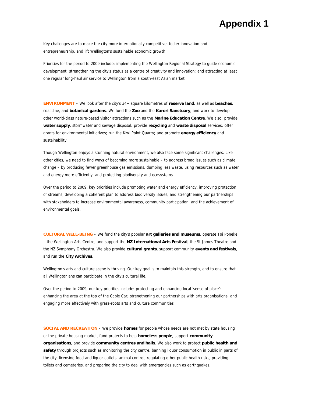Key challenges are to make the city more internationally competitive, foster innovation and entrepreneurship, and lift Wellington's sustainable economic growth.

Priorities for the period to 2009 include: implementing the Wellington Regional Strategy to guide economic development; strengthening the city's status as a centre of creativity and innovation; and attracting at least one regular long-haul air service to Wellington from a south-east Asian market.

**ENVIRONMENT** – We look after the city's 34+ square kilometres of **reserve land**, as well as **beaches**, coastline, and **botanical gardens**. We fund the **Zoo** and the **Karori Sanctuary**, and work to develop other world-class nature-based visitor attractions such as the **Marine Education Centre**. We also: provide **water supply**, stormwater and sewage disposal; provide **recycling** and **waste disposal** services; offer grants for environmental initiatives; run the Kiwi Point Quarry; and promote **energy efficiency** and sustainability.

Though Wellington enjoys a stunning natural environment, we also face some significant challenges. Like other cities, we need to find ways of becoming more sustainable – to address broad issues such as climate change – by producing fewer greenhouse gas emissions, dumping less waste, using resources such as water and energy more efficiently, and protecting biodiversity and ecosystems.

Over the period to 2009, key priorities include promoting water and energy efficiency, improving protection of streams, developing a coherent plan to address biodiversity issues, and strengthening our partnerships with stakeholders to increase environmental awareness, community participation, and the achievement of environmental goals.

**CULTURAL WELL-BEING** – We fund the city's popular **art galleries and museums**, operate Toi Poneke – the Wellington Arts Centre, and support the **NZ International Arts Festival**, the St James Theatre and the NZ Symphony Orchestra. We also provide **cultural grants**, support community **events and festivals**, and run the **City Archives**.

Wellington's arts and culture scene is thriving. Our key goal is to maintain this strength, and to ensure that all Wellingtonians can participate in the city's cultural life.

Over the period to 2009, our key priorities include: protecting and enhancing local 'sense of place'; enhancing the area at the top of the Cable Car; strengthening our partnerships with arts organisations; and engaging more effectively with grass-roots arts and culture communities.

**SOCIAL AND RECREATION** – We provide **homes** for people whose needs are not met by state housing or the private housing market, fund projects to help **homeless people**, support **community organisations**, and provide **community centres and halls**. We also work to protect **public health and safety** through projects such as monitoring the city centre, banning liquor consumption in public in parts of the city, licensing food and liquor outlets, animal control, regulating other public health risks, providing toilets and cemeteries, and preparing the city to deal with emergencies such as earthquakes.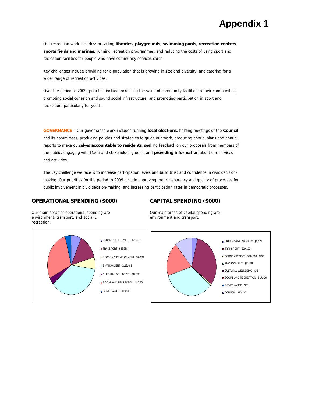Our recreation work includes: providing **libraries**, **playgrounds**, **swimming pools**, **recreation centres**, **sports fields** and **marinas**; running recreation programmes; and reducing the costs of using sport and recreation facilities for people who have community services cards.

Key challenges include providing for a population that is growing in size and diversity, and catering for a wider range of recreation activities.

Over the period to 2009, priorities include increasing the value of community facilities to their communities, promoting social cohesion and sound social infrastructure, and promoting participation in sport and recreation, particularly for youth.

**GOVERNANCE** – Our governance work includes running **local elections**, holding meetings of the **Council** and its committees, producing policies and strategies to guide our work, producing annual plans and annual reports to make ourselves **accountable to residents**, seeking feedback on our proposals from members of the public, engaging with Maori and stakeholder groups, and **providing information** about our services and activities.

The key challenge we face is to increase participation levels and build trust and confidence in civic decisionmaking. Our priorities for the period to 2009 include improving the transparency and quality of processes for public involvement in civic decision-making, and increasing participation rates in democratic processes.

TRANSPORT \$43,358

ENVIRONMENT \$113,483

GOVERNANCE \$13,313

#### **OPERATIONAL SPENDING (\$000)**

#### **CAPITAL SPENDING (\$000)**

Our main areas of operational spending are environment, transport, and social & recreation.

Our main areas of capital spending are environment and transport.

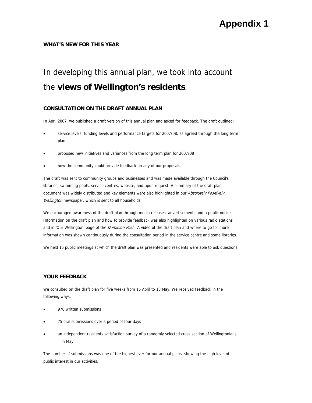#### **WHAT'S NEW FOR THIS YEAR**

# In developing this annual plan, we took into account the **views of Wellington's residents**.

#### **CONSULTATION ON THE DRAFT ANNUAL PLAN**

In April 2007, we published a draft version of this annual plan and asked for feedback. The draft outlined:

- service levels, funding levels and performance targets for 2007/08, as agreed through the long term plan
- proposed new initiatives and variances from the long term plan for 2007/08
- how the community could provide feedback on any of our proposals.

Wellington newspaper, which is sent to all households. The draft was sent to community groups and businesses and was made available through the Council's libraries, swimming pools, service centres, website, and upon request. A summary of the draft plan document was widely distributed and key elements were also highlighted in our Absolutely Positively

We encouraged awareness of the draft plan through media releases, advertisements and a public notice. Information on the draft plan and how to provide feedback was also highlighted on various radio stations and in 'Our Wellington' page of the *Dominion Post*. A video of the draft plan and where to go for more information was shown continuously during the consultation period in the service centre and some libraries.

We held 16 public meetings at which the draft plan was presented and residents were able to ask questions.

#### **YOUR FEEDBACK**

We consulted on the draft plan for five weeks from 16 April to 18 May. We received feedback in the following ways:

- 978 written submissions
- 75 oral submissions over a period of four days
- an independent residents satisfaction survey of a randomly selected cross section of Wellingtonians in May.

The number of submissions was one of the highest ever for our annual plans, showing the high level of public interest in our activities.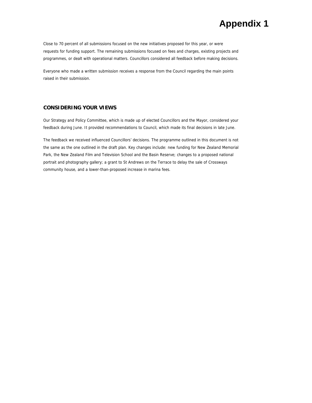Close to 70 percent of all submissions focused on the new initiatives proposed for this year, or were requests for funding support. The remaining submissions focused on fees and charges, existing projects and programmes, or dealt with operational matters. Councillors considered all feedback before making decisions.

Everyone who made a written submission receives a response from the Council regarding the main points raised in their submission.

#### **CONSIDERING YOUR VIEWS**

Our Strategy and Policy Committee, which is made up of elected Councillors and the Mayor, considered your feedback during June. It provided recommendations to Council, which made its final decisions in late June.

The feedback we received influenced Councillors' decisions. The programme outlined in this document is not the same as the one outlined in the draft plan. Key changes include: new funding for New Zealand Memorial Park, the New Zealand Film and Television School and the Basin Reserve; changes to a proposed national portrait and photography gallery; a grant to St Andrews on the Terrace to delay the sale of Crossways community house, and a lower-than-proposed increase in marina fees.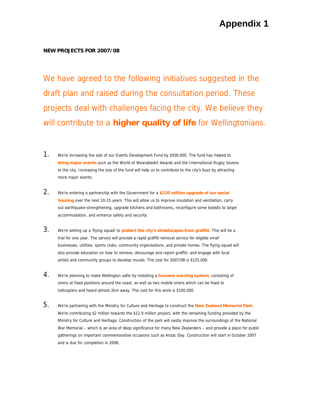#### **NEW PROJECTS FOR 2007/08**

We have agreed to the following initiatives suggested in the draft plan and raised during the consultation period. These projects deal with challenges facing the city. We believe they will contribute to a **higher quality of life** for Wellingtonians.

- 1. We're increasing the size of our Events Development Fund by \$500,000. The fund has helped to **bring major events** such as the World of WearableArt Awards and the International Rugby Sevens to the city. Increasing the size of the fund will help us to contribute to the city's buzz by attracting more major events.
- 2. We're entering a partnership with the Government for a **\$220 million upgrade of our social housing** over the next 10-15 years. This will allow us to improve insulation and ventilation, carry out earthquake-strengthening, upgrade kitchens and bathrooms, reconfigure some bedsits to larger accommodation, and enhance safety and security.
- 3. We're setting up a 'flying squad' to **protect the city's streetscapes from graffiti**. This will be a trial for one year. The service will provide a rapid graffiti removal service for eligible small businesses, utilities, sports clubs, community organisations, and private homes. The flying squad will also provide education on how to remove, discourage and report graffiti; and engage with local artists and community groups to develop murals. The cost for 2007/08 is \$225,000.
- 4. We're planning to make Wellington safer by installing a **tsunami warning system**, consisting of sirens at fixed positions around the coast, as well as two mobile sirens which can be fixed to helicopters and heard almost 2km away. The cost for this work is \$100,000.
- 5. We're partnering with the Ministry for Culture and Heritage to construct the **New Zealand Memorial Park**. We're contributing \$2 million towards the \$12.9 million project, with the remaining funding provided by the Ministry for Culture and Heritage. Construction of the park will vastly improve the surroundings of the National War Memorial – which is an area of deep significance for many New Zealanders – and provide a place for public gatherings on important commemorative occasions such as Anzac Day. Construction will start in October 2007 and is due for completion in 2008.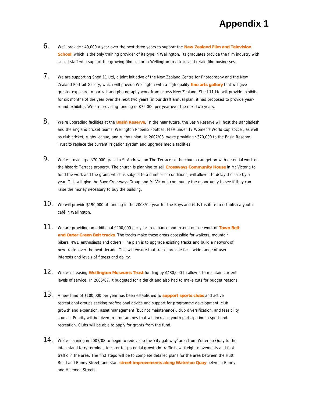- 6. We'll provide \$40,000 a year over the next three years to support the **New Zealand Film and Television**  School, which is the only training provider of its type in Wellington. Its graduates provide the film industry with skilled staff who support the growing film sector in Wellington to attract and retain film businesses.
- 7. We are supporting Shed 11 Ltd, a joint initiative of the New Zealand Centre for Photography and the New Zealand Portrait Gallery, which will provide Wellington with a high quality **fine arts gallery** that will give greater exposure to portrait and photography work from across New Zealand. Shed 11 Ltd will provide exhibits for six months of the year over the next two years (in our draft annual plan, it had proposed to provide yearround exhibits). We are providing funding of \$75,000 per year over the next two years.
- 8. We're upgrading facilities at the **Basin Reserve**. In the near future, the Basin Reserve will host the Bangladesh and the England cricket teams, Wellington Phoenix Football, FIFA under 17 Women's World Cup soccer, as well as club cricket, rugby league, and rugby union. In 2007/08, we're providing \$370,000 to the Basin Reserve Trust to replace the current irrigation system and upgrade media facilities.
- 9. We're providing a \$70,000 grant to St Andrews on The Terrace so the church can get on with essential work on the historic Terrace property. The church is planning to sell **Crossways Community House** in Mt Victoria to fund the work and the grant, which is subject to a number of conditions, will allow it to delay the sale by a year. This will give the Save Crossways Group and Mt Victoria community the opportunity to see if they can raise the money necessary to buy the building.
- $10.$  We will provide \$190,000 of funding in the 2008/09 year for the Boys and Girls Institute to establish a youth café in Wellington.
- 11. We are providing an additional \$200,000 per year to enhance and extend our network of **Town Belt and Outer Green Belt tracks**. The tracks make these areas accessible for walkers, mountain bikers, 4WD enthusiasts and others. The plan is to upgrade existing tracks and build a network of new tracks over the next decade. This will ensure that tracks provide for a wide range of user interests and levels of fitness and ability.
- 12. We're increasing **Wellington Museums Trust** funding by \$480,000 to allow it to maintain current levels of service. In 2006/07, it budgeted for a deficit and also had to make cuts for budget reasons.
- 13. A new fund of \$100,000 per year has been established to **support sports clubs** and active recreational groups seeking professional advice and support for programme development, club growth and expansion, asset management (but not maintenance), club diversification, and feasibility studies. Priority will be given to programmes that will increase youth participation in sport and recreation. Clubs will be able to apply for grants from the fund.
- $14.$  We're planning in 2007/08 to begin to redevelop the 'city gateway' area from Waterloo Quay to the inter-island ferry terminal, to cater for potential growth in traffic flow, freight movements and foot traffic in the area. The first steps will be to complete detailed plans for the area between the Hutt Road and Bunny Street, and start **street improvements along Waterloo Quay** between Bunny and Hinemoa Streets.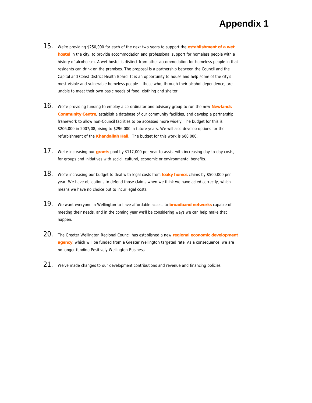- 15. We're providing \$250,000 for each of the next two years to support the **establishment of a wet hostel** in the city, to provide accommodation and professional support for homeless people with a history of alcoholism. A wet hostel is distinct from other accommodation for homeless people in that residents can drink on the premises. The proposal is a partnership between the Council and the Capital and Coast District Health Board. It is an opportunity to house and help some of the city's most visible and vulnerable homeless people – those who, through their alcohol dependence, are unable to meet their own basic needs of food, clothing and shelter.
- 16. We're providing funding to employ a co-ordinator and advisory group to run the new **Newlands Community Centre**, establish a database of our community facilities, and develop a partnership framework to allow non-Council facilities to be accessed more widely. The budget for this is \$206,000 in 2007/08, rising to \$296,000 in future years. We will also develop options for the refurbishment of the **Khandallah Hall**. The budget for this work is \$60,000.
- 17. We're increasing our **grants** pool by \$117,000 per year to assist with increasing day-to-day costs, for groups and initiatives with social, cultural, economic or environmental benefits.
- 18. We're increasing our budget to deal with legal costs from **leaky homes** claims by \$500,000 per year. We have obligations to defend those claims when we think we have acted correctly, which means we have no choice but to incur legal costs.
- 19. We want everyone in Wellington to have affordable access to **broadband networks** capable of meeting their needs, and in the coming year we'll be considering ways we can help make that happen.
- 20. The Greater Wellington Regional Council has established a new **regional economic development agency**, which will be funded from a Greater Wellington targeted rate. As a consequence, we are no longer funding Positively Wellington Business.
- $21.$  We've made changes to our development contributions and revenue and financing policies.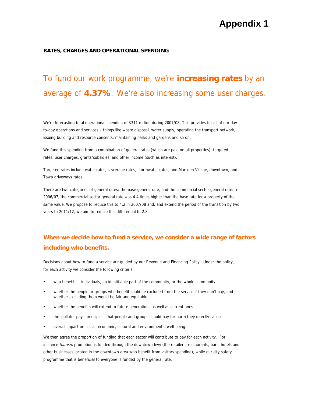#### **RATES, CHARGES AND OPERATIONAL SPENDING**

# To fund our work programme, we're **increasing rates** by an average of **4.37%**. We're also increasing some user charges.

We're forecasting total operational spending of \$311 million during 2007/08. This provides for all of our dayto-day operations and services – things like waste disposal, water supply, operating the transport network, issuing building and resource consents, maintaining parks and gardens and so on.

We fund this spending from a combination of general rates (which are paid on all properties), targeted rates, user charges, grants/subsidies, and other income (such as interest).

Targeted rates include water rates, sewerage rates, stormwater rates, and Marsden Village, downtown, and Tawa driveways rates.

There are two categories of general rates: the base general rate, and the commercial sector general rate. In 2006/07, the commercial sector general rate was 4.4 times higher than the base rate for a property of the same value. We propose to reduce this to 4.2 in 2007/08 and, and extend the period of the transition by two years to 2011/12, we aim to reduce this differential to 2.8.

### **When we decide how to fund a service, we consider a wide range of factors including who benefits.**

Decisions about how to fund a service are guided by our Revenue and Financing Policy. Under the policy, for each activity we consider the following criteria:

- who benefits individuals, an identifiable part of the community, or the whole community
- whether the people or groups who benefit could be excluded from the service if they don't pay, and whether excluding them would be fair and equitable
- whether the benefits will extend to future generations as well as current ones
- the 'polluter pays' principle that people and groups should pay for harm they directly cause
- overall impact on social, economic, cultural and environmental well-being.

We then agree the proportion of funding that each sector will contribute to pay for each activity. For instance tourism promotion is funded through the downtown levy (the retailers, restaurants, bars, hotels and other businesses located in the downtown area who benefit from visitors spending), while our city safety programme that is beneficial to everyone is funded by the general rate.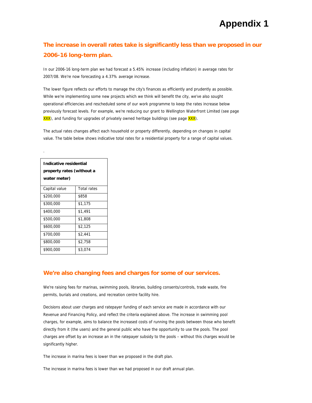### **The increase in overall rates take is significantly less than we proposed in our 2006-16 long-term plan.**

In our 2006-16 long-term plan we had forecast a 5.45% increase (including inflation) in average rates for 2007/08. We're now forecasting a 4.37% average increase.

The lower figure reflects our efforts to manage the city's finances as efficiently and prudently as possible. While we're implementing some new projects which we think will benefit the city, we've also sought operational efficiencies and rescheduled some of our work programme to keep the rates increase below previously forecast levels. For example, we're reducing our grant to Wellington Waterfront Limited (see page XXX), and funding for upgrades of privately owned heritage buildings (see page XXX).

The actual rates changes affect each household or property differently, depending on changes in capital value. The table below shows indicative total rates for a residential property for a range of capital values.

| Indicative residential<br>property rates (without a<br>water meter) |                    |  |  |
|---------------------------------------------------------------------|--------------------|--|--|
| Capital value                                                       | <b>Total rates</b> |  |  |
| \$200,000                                                           | \$858              |  |  |
| \$300,000                                                           | \$1,175            |  |  |
| \$400,000                                                           | \$1,491            |  |  |
| \$500,000                                                           | \$1,808            |  |  |
| \$600,000                                                           | \$2,125            |  |  |
| \$700,000                                                           | \$2,441            |  |  |
| \$800,000                                                           | \$2,758            |  |  |
| \$900,000                                                           | \$3,074            |  |  |

.

#### **We're also changing fees and charges for some of our services.**

We're raising fees for marinas, swimming pools, libraries, building consents/controls, trade waste, fire permits, burials and creations, and recreation centre facility hire.

Decisions about user charges and ratepayer funding of each service are made in accordance with our Revenue and Financing Policy, and reflect the criteria explained above. The increase in swimming pool charges, for example, aims to balance the increased costs of running the pools between those who benefit directly from it (the users) and the general public who have the opportunity to use the pools. The pool charges are offset by an increase an in the ratepayer subsidy to the pools – without this charges would be significantly higher.

The increase in marina fees is lower than we proposed in the draft plan.

The increase in marina fees is lower than we had proposed in our draft annual plan.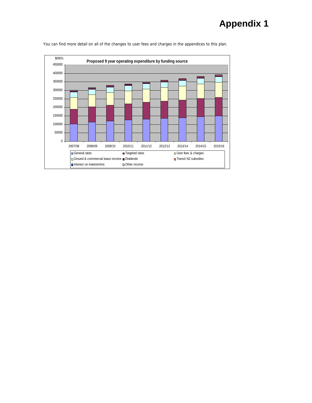

You can find more detail on all of the changes to user fees and charges in the appendices to this plan.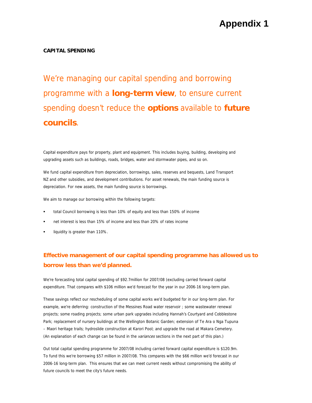#### **CAPITAL SPENDING**

We're managing our capital spending and borrowing programme with a **long-term view**, to ensure current spending doesn't reduce the **options** available to **future councils**.

Capital expenditure pays for property, plant and equipment. This includes buying, building, developing and upgrading assets such as buildings, roads, bridges, water and stormwater pipes, and so on.

We fund capital expenditure from depreciation, borrowings, sales, reserves and bequests, Land Transport NZ and other subsidies, and development contributions. For asset renewals, the main funding source is depreciation. For new assets, the main funding source is borrowings.

We aim to manage our borrowing within the following targets:

- total Council borrowing is less than 10% of equity and less than 150% of income
- net interest is less than 15% of income and less than 20% of rates income
- liquidity is greater than 110%.

### **Effective management of our capital spending programme has allowed us to borrow less than we'd planned.**

We're forecasting total capital spending of \$92.7million for 2007/08 (excluding carried forward capital expenditure. That compares with \$106 million we'd forecast for the year in our 2006-16 long-term plan.

These savings reflect our rescheduling of some capital works we'd budgeted for in our long-term plan. For example, we're deferring: construction of the Messines Road water reservoir ; some wastewater renewal projects; some roading projects; some urban park upgrades including Hannah's Courtyard and Cobblestone Park; replacement of nursery buildings at the Wellington Botanic Garden; extension of Te Ara o Nga Tupuna – Maori heritage trails; hydroslide construction at Karori Pool; and upgrade the road at Makara Cemetery. (An explanation of each change can be found in the variances sections in the next part of this plan.)

Out total capital spending programme for 2007/08 including carried forward capital expenditure is \$120.9m. To fund this we're borrowing \$57 million in 2007/08. This compares with the \$66 million we'd forecast in our 2006-16 long-term plan. This ensures that we can meet current needs without compromising the ability of future councils to meet the city's future needs.